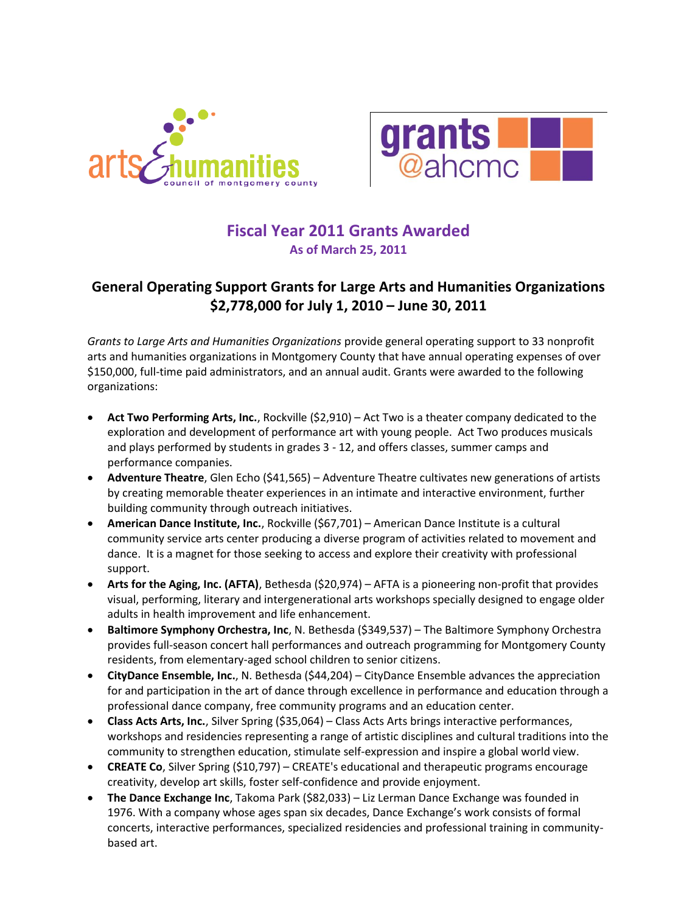



### **Fiscal Year 2011 Grants Awarded As of March 25, 2011**

### **General Operating Support Grants for Large Arts and Humanities Organizations \$2,778,000 for July 1, 2010 – June 30, 2011**

*Grants to Large Arts and Humanities Organizations* provide general operating support to 33 nonprofit arts and humanities organizations in Montgomery County that have annual operating expenses of over \$150,000, full-time paid administrators, and an annual audit. Grants were awarded to the following organizations:

- **Act Two Performing Arts, Inc.**, Rockville (\$2,910) Act Two is a theater company dedicated to the exploration and development of performance art with young people. Act Two produces musicals and plays performed by students in grades 3 - 12, and offers classes, summer camps and performance companies.
- **Adventure Theatre**, Glen Echo (\$41,565) Adventure Theatre cultivates new generations of artists by creating memorable theater experiences in an intimate and interactive environment, further building community through outreach initiatives.
- **American Dance Institute, Inc.**, Rockville (\$67,701) American Dance Institute is a cultural community service arts center producing a diverse program of activities related to movement and dance. It is a magnet for those seeking to access and explore their creativity with professional support.
- **Arts for the Aging, Inc. (AFTA)**, Bethesda (\$20,974) AFTA is a pioneering non-profit that provides visual, performing, literary and intergenerational arts workshops specially designed to engage older adults in health improvement and life enhancement.
- **Baltimore Symphony Orchestra, Inc**, N. Bethesda (\$349,537) The Baltimore Symphony Orchestra provides full-season concert hall performances and outreach programming for Montgomery County residents, from elementary-aged school children to senior citizens.
- **CityDance Ensemble, Inc.**, N. Bethesda (\$44,204) CityDance Ensemble advances the appreciation for and participation in the art of dance through excellence in performance and education through a professional dance company, free community programs and an education center.
- **Class Acts Arts, Inc.**, Silver Spring (\$35,064) Class Acts Arts brings interactive performances, workshops and residencies representing a range of artistic disciplines and cultural traditions into the community to strengthen education, stimulate self-expression and inspire a global world view.
- **CREATE Co**, Silver Spring (\$10,797) CREATE's educational and therapeutic programs encourage creativity, develop art skills, foster self-confidence and provide enjoyment.
- **The Dance Exchange Inc**, Takoma Park (\$82,033) Liz Lerman Dance Exchange was founded in 1976. With a company whose ages span six decades, Dance Exchange's work consists of formal concerts, interactive performances, specialized residencies and professional training in communitybased art.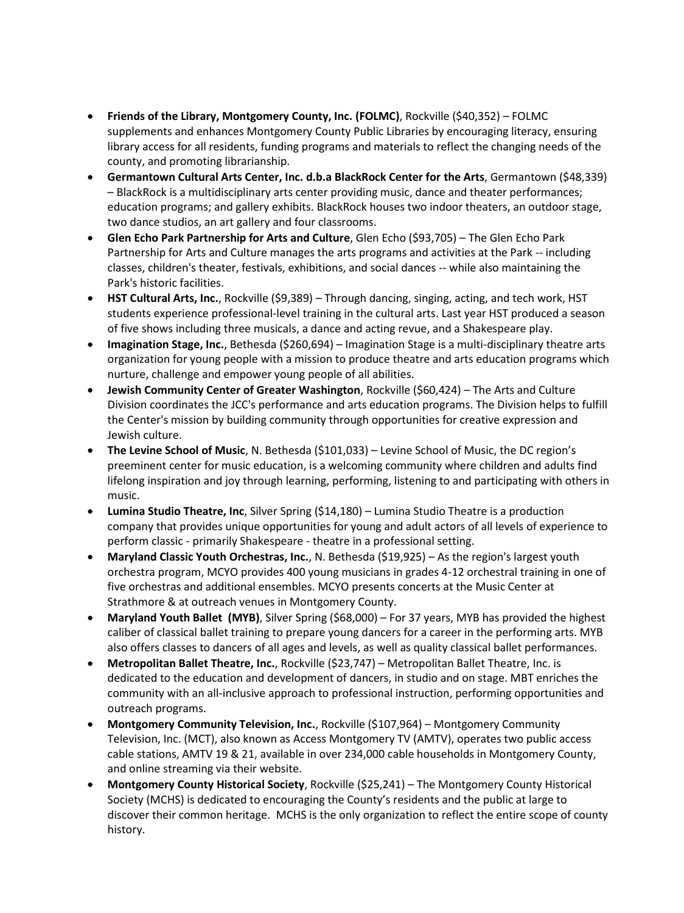- **Friends of the Library, Montgomery County, Inc. (FOLMC)**, Rockville (\$40,352) FOLMC supplements and enhances Montgomery County Public Libraries by encouraging literacy, ensuring library access for all residents, funding programs and materials to reflect the changing needs of the county, and promoting librarianship.
- **Germantown Cultural Arts Center, Inc. d.b.a BlackRock Center for the Arts**, Germantown (\$48,339) – BlackRock is a multidisciplinary arts center providing music, dance and theater performances; education programs; and gallery exhibits. BlackRock houses two indoor theaters, an outdoor stage, two dance studios, an art gallery and four classrooms.
- **Glen Echo Park Partnership for Arts and Culture**, Glen Echo (\$93,705) The Glen Echo Park Partnership for Arts and Culture manages the arts programs and activities at the Park -- including classes, children's theater, festivals, exhibitions, and social dances -- while also maintaining the Park's historic facilities.
- **HST Cultural Arts, Inc.**, Rockville (\$9,389) Through dancing, singing, acting, and tech work, HST students experience professional-level training in the cultural arts. Last year HST produced a season of five shows including three musicals, a dance and acting revue, and a Shakespeare play.
- **Imagination Stage, Inc.**, Bethesda (\$260,694) Imagination Stage is a multi-disciplinary theatre arts organization for young people with a mission to produce theatre and arts education programs which nurture, challenge and empower young people of all abilities.
- **Jewish Community Center of Greater Washington**, Rockville (\$60,424) The Arts and Culture Division coordinates the JCC's performance and arts education programs. The Division helps to fulfill the Center's mission by building community through opportunities for creative expression and Jewish culture.
- **The Levine School of Music**, N. Bethesda (\$101,033) Levine School of Music, the DC region's preeminent center for music education, is a welcoming community where children and adults find lifelong inspiration and joy through learning, performing, listening to and participating with others in music.
- **Lumina Studio Theatre, Inc**, Silver Spring (\$14,180) Lumina Studio Theatre is a production company that provides unique opportunities for young and adult actors of all levels of experience to perform classic - primarily Shakespeare - theatre in a professional setting.
- **Maryland Classic Youth Orchestras, Inc.**, N. Bethesda (\$19,925) As the region's largest youth orchestra program, MCYO provides 400 young musicians in grades 4-12 orchestral training in one of five orchestras and additional ensembles. MCYO presents concerts at the Music Center at Strathmore & at outreach venues in Montgomery County.
- **Maryland Youth Ballet (MYB)**, Silver Spring (\$68,000) For 37 years, MYB has provided the highest caliber of classical ballet training to prepare young dancers for a career in the performing arts. MYB also offers classes to dancers of all ages and levels, as well as quality classical ballet performances.
- **Metropolitan Ballet Theatre, Inc.**, Rockville (\$23,747) Metropolitan Ballet Theatre, Inc. is dedicated to the education and development of dancers, in studio and on stage. MBT enriches the community with an all-inclusive approach to professional instruction, performing opportunities and outreach programs.
- **Montgomery Community Television, Inc.**, Rockville (\$107,964) Montgomery Community Television, Inc. (MCT), also known as Access Montgomery TV (AMTV), operates two public access cable stations, AMTV 19 & 21, available in over 234,000 cable households in Montgomery County, and online streaming via their website.
- **Montgomery County Historical Society**, Rockville (\$25,241) The Montgomery County Historical Society (MCHS) is dedicated to encouraging the County's residents and the public at large to discover their common heritage. MCHS is the only organization to reflect the entire scope of county history.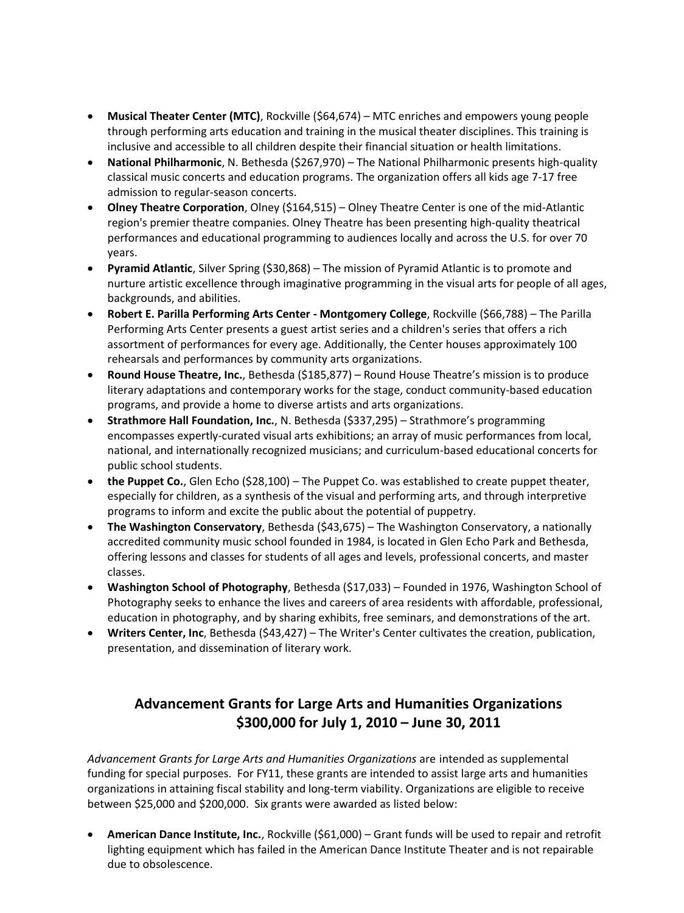- **Musical Theater Center (MTC)**, Rockville (\$64,674) MTC enriches and empowers young people through performing arts education and training in the musical theater disciplines. This training is inclusive and accessible to all children despite their financial situation or health limitations.
- **National Philharmonic**, N. Bethesda (\$267,970) The National Philharmonic presents high-quality classical music concerts and education programs. The organization offers all kids age 7-17 free admission to regular-season concerts.
- **Olney Theatre Corporation**, Olney (\$164,515) Olney Theatre Center is one of the mid-Atlantic region's premier theatre companies. Olney Theatre has been presenting high-quality theatrical performances and educational programming to audiences locally and across the U.S. for over 70 years.
- **Pyramid Atlantic**, Silver Spring (\$30,868) The mission of Pyramid Atlantic is to promote and nurture artistic excellence through imaginative programming in the visual arts for people of all ages, backgrounds, and abilities.
- **Robert E. Parilla Performing Arts Center - Montgomery College**, Rockville (\$66,788) The Parilla Performing Arts Center presents a guest artist series and a children's series that offers a rich assortment of performances for every age. Additionally, the Center houses approximately 100 rehearsals and performances by community arts organizations.
- **Round House Theatre, Inc.**, Bethesda (\$185,877) Round House Theatre's mission is to produce literary adaptations and contemporary works for the stage, conduct community-based education programs, and provide a home to diverse artists and arts organizations.
- **Strathmore Hall Foundation, Inc.**, N. Bethesda (\$337,295) Strathmore's programming encompasses expertly-curated visual arts exhibitions; an array of music performances from local, national, and internationally recognized musicians; and curriculum-based educational concerts for public school students.
- the Puppet Co., Glen Echo (\$28,100) The Puppet Co. was established to create puppet theater, especially for children, as a synthesis of the visual and performing arts, and through interpretive programs to inform and excite the public about the potential of puppetry.
- **The Washington Conservatory**, Bethesda (\$43,675) The Washington Conservatory, a nationally accredited community music school founded in 1984, is located in Glen Echo Park and Bethesda, offering lessons and classes for students of all ages and levels, professional concerts, and master classes.
- **Washington School of Photography**, Bethesda (\$17,033) Founded in 1976, Washington School of Photography seeks to enhance the lives and careers of area residents with affordable, professional, education in photography, and by sharing exhibits, free seminars, and demonstrations of the art.
- **Writers Center, Inc**, Bethesda (\$43,427) The Writer's Center cultivates the creation, publication, presentation, and dissemination of literary work.

### **Advancement Grants for Large Arts and Humanities Organizations \$300,000 for July 1, 2010 – June 30, 2011**

*Advancement Grants for Large Arts and Humanities Organizations* are intended as supplemental funding for special purposes. For FY11, these grants are intended to assist large arts and humanities organizations in attaining fiscal stability and long-term viability. Organizations are eligible to receive between \$25,000 and \$200,000. Six grants were awarded as listed below:

 **American Dance Institute, Inc.**, Rockville (\$61,000) – Grant funds will be used to repair and retrofit lighting equipment which has failed in the American Dance Institute Theater and is not repairable due to obsolescence.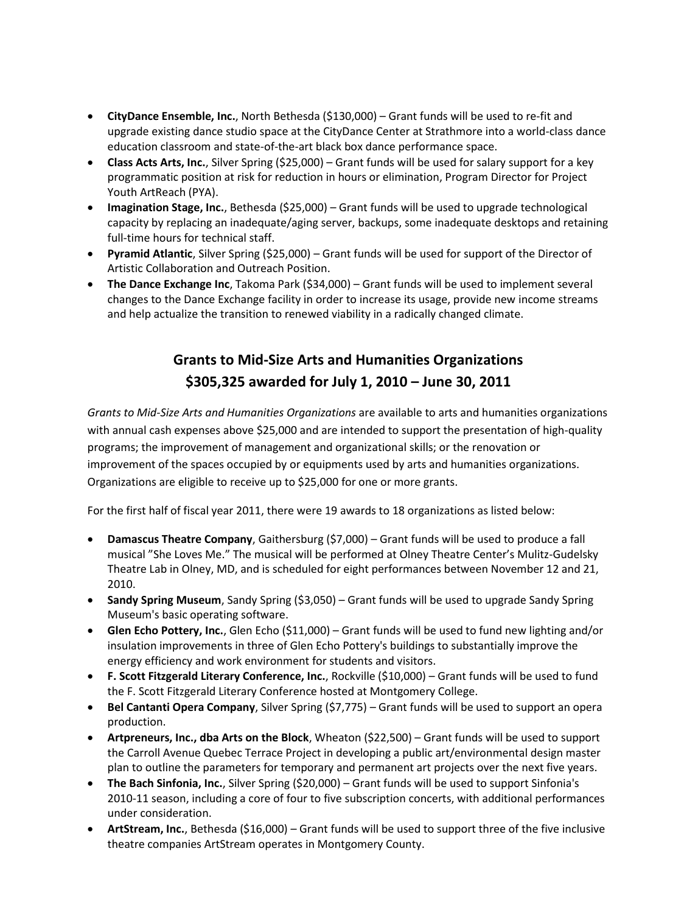- **CityDance Ensemble, Inc.**, North Bethesda (\$130,000) Grant funds will be used to re-fit and upgrade existing dance studio space at the CityDance Center at Strathmore into a world-class dance education classroom and state-of-the-art black box dance performance space.
- **Class Acts Arts, Inc.**, Silver Spring (\$25,000) Grant funds will be used for salary support for a key programmatic position at risk for reduction in hours or elimination, Program Director for Project Youth ArtReach (PYA).
- **Imagination Stage, Inc.**, Bethesda (\$25,000) Grant funds will be used to upgrade technological capacity by replacing an inadequate/aging server, backups, some inadequate desktops and retaining full-time hours for technical staff.
- **Pyramid Atlantic**, Silver Spring (\$25,000) Grant funds will be used for support of the Director of Artistic Collaboration and Outreach Position.
- **The Dance Exchange Inc**, Takoma Park (\$34,000) Grant funds will be used to implement several changes to the Dance Exchange facility in order to increase its usage, provide new income streams and help actualize the transition to renewed viability in a radically changed climate.

# **Grants to Mid-Size Arts and Humanities Organizations \$305,325 awarded for July 1, 2010 – June 30, 2011**

*Grants to Mid-Size Arts and Humanities Organizations* are available to arts and humanities organizations with annual cash expenses above \$25,000 and are intended to support the presentation of high-quality programs; the improvement of management and organizational skills; or the renovation or improvement of the spaces occupied by or equipments used by arts and humanities organizations. Organizations are eligible to receive up to \$25,000 for one or more grants.

For the first half of fiscal year 2011, there were 19 awards to 18 organizations as listed below:

- **Damascus Theatre Company**, Gaithersburg (\$7,000) Grant funds will be used to produce a fall musical "She Loves Me." The musical will be performed at Olney Theatre Center's Mulitz-Gudelsky Theatre Lab in Olney, MD, and is scheduled for eight performances between November 12 and 21, 2010.
- **Sandy Spring Museum**, Sandy Spring (\$3,050) Grant funds will be used to upgrade Sandy Spring Museum's basic operating software.
- **Glen Echo Pottery, Inc.**, Glen Echo (\$11,000) Grant funds will be used to fund new lighting and/or insulation improvements in three of Glen Echo Pottery's buildings to substantially improve the energy efficiency and work environment for students and visitors.
- **F. Scott Fitzgerald Literary Conference, Inc.**, Rockville (\$10,000) Grant funds will be used to fund the F. Scott Fitzgerald Literary Conference hosted at Montgomery College.
- **Bel Cantanti Opera Company**, Silver Spring (\$7,775) Grant funds will be used to support an opera production.
- **Artpreneurs, Inc., dba Arts on the Block**, Wheaton (\$22,500) Grant funds will be used to support the Carroll Avenue Quebec Terrace Project in developing a public art/environmental design master plan to outline the parameters for temporary and permanent art projects over the next five years.
- **The Bach Sinfonia, Inc.**, Silver Spring (\$20,000) Grant funds will be used to support Sinfonia's 2010-11 season, including a core of four to five subscription concerts, with additional performances under consideration.
- **ArtStream, Inc.**, Bethesda (\$16,000) Grant funds will be used to support three of the five inclusive theatre companies ArtStream operates in Montgomery County.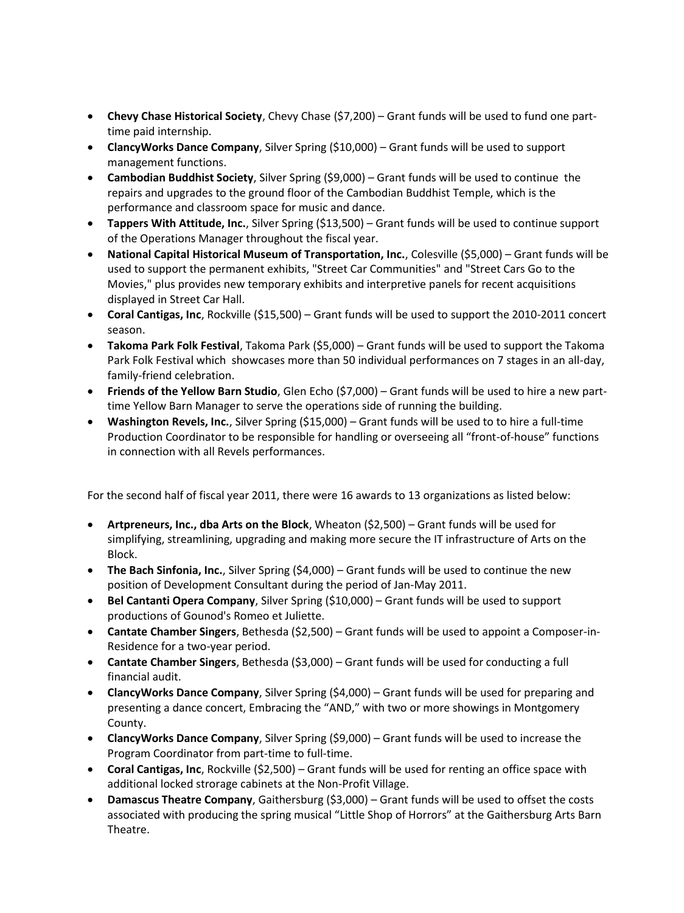- **Chevy Chase Historical Society**, Chevy Chase (\$7,200) Grant funds will be used to fund one parttime paid internship.
- **ClancyWorks Dance Company**, Silver Spring (\$10,000) Grant funds will be used to support management functions.
- **Cambodian Buddhist Society**, Silver Spring (\$9,000) Grant funds will be used to continue the repairs and upgrades to the ground floor of the Cambodian Buddhist Temple, which is the performance and classroom space for music and dance.
- **Tappers With Attitude, Inc.**, Silver Spring (\$13,500) Grant funds will be used to continue support of the Operations Manager throughout the fiscal year.
- **National Capital Historical Museum of Transportation, Inc.**, Colesville (\$5,000) Grant funds will be used to support the permanent exhibits, "Street Car Communities" and "Street Cars Go to the Movies," plus provides new temporary exhibits and interpretive panels for recent acquisitions displayed in Street Car Hall.
- **Coral Cantigas, Inc**, Rockville (\$15,500) Grant funds will be used to support the 2010-2011 concert season.
- **Takoma Park Folk Festival**, Takoma Park (\$5,000) Grant funds will be used to support the Takoma Park Folk Festival which showcases more than 50 individual performances on 7 stages in an all-day, family-friend celebration.
- **Friends of the Yellow Barn Studio**, Glen Echo (\$7,000) Grant funds will be used to hire a new parttime Yellow Barn Manager to serve the operations side of running the building.
- **Washington Revels, Inc.**, Silver Spring (\$15,000) Grant funds will be used to to hire a full-time Production Coordinator to be responsible for handling or overseeing all "front-of-house" functions in connection with all Revels performances.

For the second half of fiscal year 2011, there were 16 awards to 13 organizations as listed below:

- **Artpreneurs, Inc., dba Arts on the Block**, Wheaton (\$2,500) Grant funds will be used for simplifying, streamlining, upgrading and making more secure the IT infrastructure of Arts on the Block.
- **The Bach Sinfonia, Inc.**, Silver Spring (\$4,000) Grant funds will be used to continue the new position of Development Consultant during the period of Jan-May 2011.
- **Bel Cantanti Opera Company**, Silver Spring (\$10,000) Grant funds will be used to support productions of Gounod's Romeo et Juliette.
- **Cantate Chamber Singers**, Bethesda (\$2,500) Grant funds will be used to appoint a Composer-in-Residence for a two-year period.
- **Cantate Chamber Singers**, Bethesda (\$3,000) Grant funds will be used for conducting a full financial audit.
- **ClancyWorks Dance Company**, Silver Spring (\$4,000) Grant funds will be used for preparing and presenting a dance concert, Embracing the "AND," with two or more showings in Montgomery County.
- **ClancyWorks Dance Company**, Silver Spring (\$9,000) Grant funds will be used to increase the Program Coordinator from part-time to full-time.
- **Coral Cantigas, Inc**, Rockville (\$2,500) Grant funds will be used for renting an office space with additional locked strorage cabinets at the Non-Profit Village.
- **Damascus Theatre Company**, Gaithersburg (\$3,000) Grant funds will be used to offset the costs associated with producing the spring musical "Little Shop of Horrors" at the Gaithersburg Arts Barn Theatre.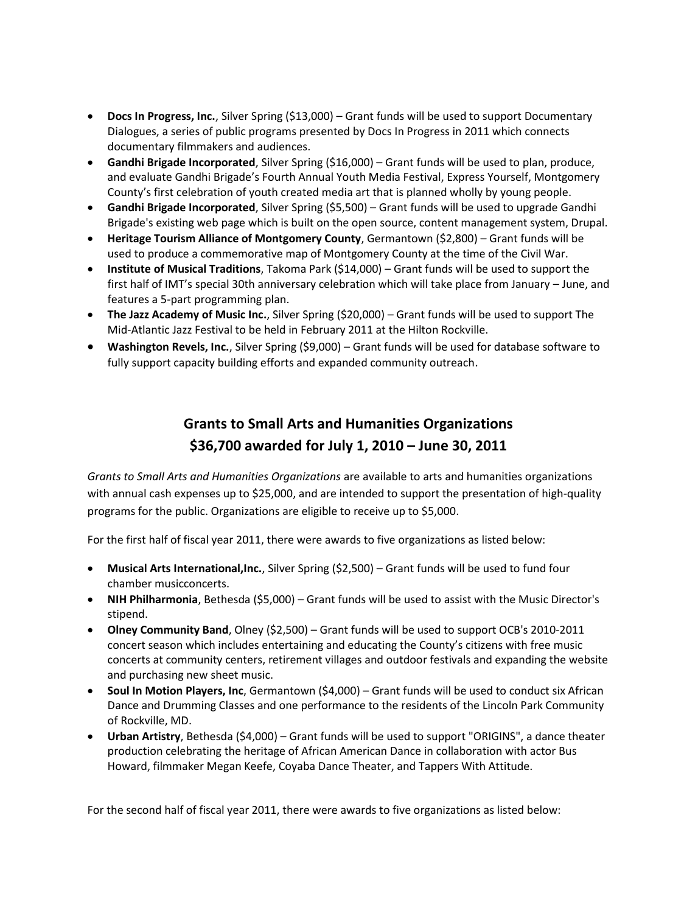- **Docs In Progress, Inc.**, Silver Spring (\$13,000) Grant funds will be used to support Documentary Dialogues, a series of public programs presented by Docs In Progress in 2011 which connects documentary filmmakers and audiences.
- **Gandhi Brigade Incorporated**, Silver Spring (\$16,000) Grant funds will be used to plan, produce, and evaluate Gandhi Brigade's Fourth Annual Youth Media Festival, Express Yourself, Montgomery County's first celebration of youth created media art that is planned wholly by young people.
- **Gandhi Brigade Incorporated**, Silver Spring (\$5,500) Grant funds will be used to upgrade Gandhi Brigade's existing web page which is built on the open source, content management system, Drupal.
- **Heritage Tourism Alliance of Montgomery County**, Germantown (\$2,800) Grant funds will be used to produce a commemorative map of Montgomery County at the time of the Civil War.
- **Institute of Musical Traditions**, Takoma Park (\$14,000) Grant funds will be used to support the first half of IMT's special 30th anniversary celebration which will take place from January – June, and features a 5-part programming plan.
- **The Jazz Academy of Music Inc.**, Silver Spring (\$20,000) Grant funds will be used to support The Mid-Atlantic Jazz Festival to be held in February 2011 at the Hilton Rockville.
- **Washington Revels, Inc.**, Silver Spring (\$9,000) Grant funds will be used for database software to fully support capacity building efforts and expanded community outreach.

### **Grants to Small Arts and Humanities Organizations \$36,700 awarded for July 1, 2010 – June 30, 2011**

*Grants to Small Arts and Humanities Organizations* are available to arts and humanities organizations with annual cash expenses up to \$25,000, and are intended to support the presentation of high-quality programs for the public. Organizations are eligible to receive up to \$5,000.

For the first half of fiscal year 2011, there were awards to five organizations as listed below:

- **Musical Arts International,Inc.**, Silver Spring (\$2,500) Grant funds will be used to fund four chamber musicconcerts.
- **NIH Philharmonia**, Bethesda (\$5,000) Grant funds will be used to assist with the Music Director's stipend.
- **Olney Community Band**, Olney (\$2,500) Grant funds will be used to support OCB's 2010-2011 concert season which includes entertaining and educating the County's citizens with free music concerts at community centers, retirement villages and outdoor festivals and expanding the website and purchasing new sheet music.
- **Soul In Motion Players, Inc**, Germantown (\$4,000) Grant funds will be used to conduct six African Dance and Drumming Classes and one performance to the residents of the Lincoln Park Community of Rockville, MD.
- **Urban Artistry**, Bethesda (\$4,000) Grant funds will be used to support "ORIGINS", a dance theater production celebrating the heritage of African American Dance in collaboration with actor Bus Howard, filmmaker Megan Keefe, Coyaba Dance Theater, and Tappers With Attitude.

For the second half of fiscal year 2011, there were awards to five organizations as listed below: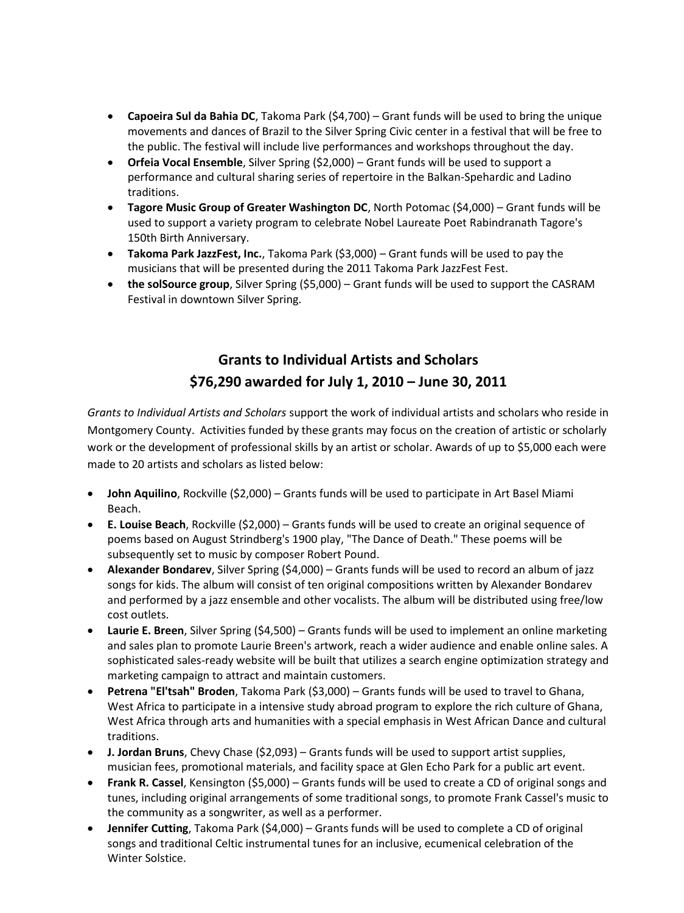- **Capoeira Sul da Bahia DC**, Takoma Park (\$4,700) Grant funds will be used to bring the unique movements and dances of Brazil to the Silver Spring Civic center in a festival that will be free to the public. The festival will include live performances and workshops throughout the day.
- **Orfeia Vocal Ensemble**, Silver Spring (\$2,000) Grant funds will be used to support a performance and cultural sharing series of repertoire in the Balkan-Spehardic and Ladino traditions.
- **Tagore Music Group of Greater Washington DC**, North Potomac (\$4,000) Grant funds will be used to support a variety program to celebrate Nobel Laureate Poet Rabindranath Tagore's 150th Birth Anniversary.
- **Takoma Park JazzFest, Inc.**, Takoma Park (\$3,000) Grant funds will be used to pay the musicians that will be presented during the 2011 Takoma Park JazzFest Fest.
- **the solSource group**, Silver Spring (\$5,000) Grant funds will be used to support the CASRAM Festival in downtown Silver Spring.

## **Grants to Individual Artists and Scholars \$76,290 awarded for July 1, 2010 – June 30, 2011**

*Grants to Individual Artists and Scholars* support the work of individual artists and scholars who reside in Montgomery County. Activities funded by these grants may focus on the creation of artistic or scholarly work or the development of professional skills by an artist or scholar. Awards of up to \$5,000 each were made to 20 artists and scholars as listed below:

- **John Aquilino**, Rockville (\$2,000) Grants funds will be used to participate in Art Basel Miami Beach.
- **E. Louise Beach**, Rockville (\$2,000) Grants funds will be used to create an original sequence of poems based on August Strindberg's 1900 play, "The Dance of Death." These poems will be subsequently set to music by composer Robert Pound.
- **Alexander Bondarev**, Silver Spring (\$4,000) Grants funds will be used to record an album of jazz songs for kids. The album will consist of ten original compositions written by Alexander Bondarev and performed by a jazz ensemble and other vocalists. The album will be distributed using free/low cost outlets.
- **Laurie E. Breen**, Silver Spring (\$4,500) Grants funds will be used to implement an online marketing and sales plan to promote Laurie Breen's artwork, reach a wider audience and enable online sales. A sophisticated sales-ready website will be built that utilizes a search engine optimization strategy and marketing campaign to attract and maintain customers.
- **Petrena "El'tsah" Broden**, Takoma Park (\$3,000) Grants funds will be used to travel to Ghana, West Africa to participate in a intensive study abroad program to explore the rich culture of Ghana, West Africa through arts and humanities with a special emphasis in West African Dance and cultural traditions.
- **J. Jordan Bruns**, Chevy Chase (\$2,093) Grants funds will be used to support artist supplies, musician fees, promotional materials, and facility space at Glen Echo Park for a public art event.
- **Frank R. Cassel**, Kensington (\$5,000) Grants funds will be used to create a CD of original songs and tunes, including original arrangements of some traditional songs, to promote Frank Cassel's music to the community as a songwriter, as well as a performer.
- **Jennifer Cutting**, Takoma Park (\$4,000) Grants funds will be used to complete a CD of original songs and traditional Celtic instrumental tunes for an inclusive, ecumenical celebration of the Winter Solstice.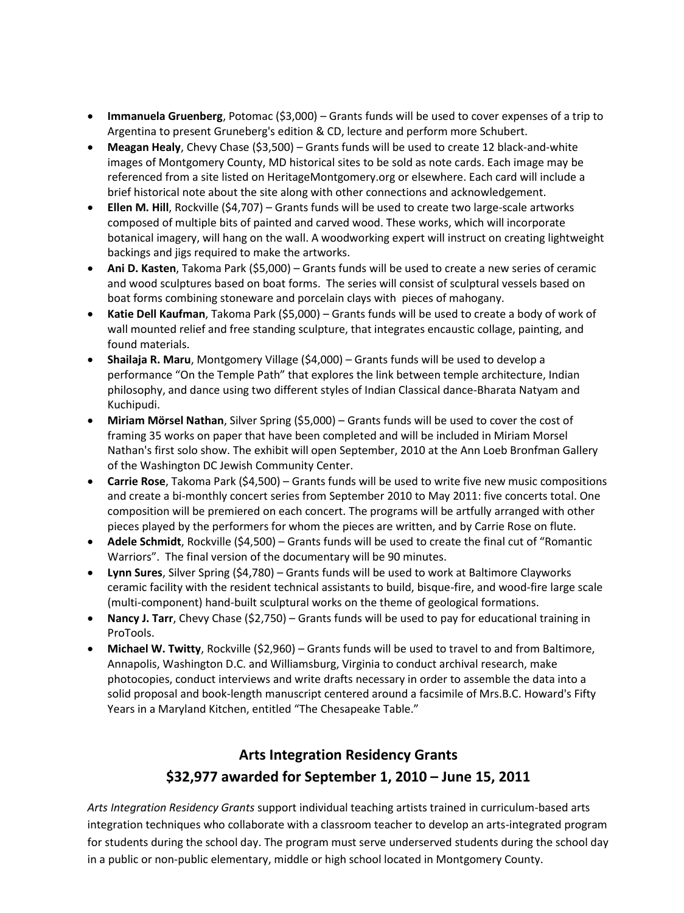- **Immanuela Gruenberg**, Potomac (\$3,000) Grants funds will be used to cover expenses of a trip to Argentina to present Gruneberg's edition & CD, lecture and perform more Schubert.
- **Meagan Healy**, Chevy Chase (\$3,500) Grants funds will be used to create 12 black-and-white images of Montgomery County, MD historical sites to be sold as note cards. Each image may be referenced from a site listed on HeritageMontgomery.org or elsewhere. Each card will include a brief historical note about the site along with other connections and acknowledgement.
- **Ellen M. Hill**, Rockville (\$4,707) Grants funds will be used to create two large-scale artworks composed of multiple bits of painted and carved wood. These works, which will incorporate botanical imagery, will hang on the wall. A woodworking expert will instruct on creating lightweight backings and jigs required to make the artworks.
- **Ani D. Kasten**, Takoma Park (\$5,000) Grants funds will be used to create a new series of ceramic and wood sculptures based on boat forms. The series will consist of sculptural vessels based on boat forms combining stoneware and porcelain clays with pieces of mahogany.
- **Katie Dell Kaufman**, Takoma Park (\$5,000) Grants funds will be used to create a body of work of wall mounted relief and free standing sculpture, that integrates encaustic collage, painting, and found materials.
- **Shailaja R. Maru**, Montgomery Village (\$4,000) Grants funds will be used to develop a performance "On the Temple Path" that explores the link between temple architecture, Indian philosophy, and dance using two different styles of Indian Classical dance-Bharata Natyam and Kuchipudi.
- **Miriam Mörsel Nathan**, Silver Spring (\$5,000) Grants funds will be used to cover the cost of framing 35 works on paper that have been completed and will be included in Miriam Morsel Nathan's first solo show. The exhibit will open September, 2010 at the Ann Loeb Bronfman Gallery of the Washington DC Jewish Community Center.
- **Carrie Rose**, Takoma Park (\$4,500) Grants funds will be used to write five new music compositions and create a bi-monthly concert series from September 2010 to May 2011: five concerts total. One composition will be premiered on each concert. The programs will be artfully arranged with other pieces played by the performers for whom the pieces are written, and by Carrie Rose on flute.
- **Adele Schmidt**, Rockville (\$4,500) Grants funds will be used to create the final cut of "Romantic Warriors". The final version of the documentary will be 90 minutes.
- **Lynn Sures**, Silver Spring (\$4,780) Grants funds will be used to work at Baltimore Clayworks ceramic facility with the resident technical assistants to build, bisque-fire, and wood-fire large scale (multi-component) hand-built sculptural works on the theme of geological formations.
- **Nancy J. Tarr**, Chevy Chase (\$2,750) Grants funds will be used to pay for educational training in ProTools.
- **Michael W. Twitty**, Rockville (\$2,960) Grants funds will be used to travel to and from Baltimore, Annapolis, Washington D.C. and Williamsburg, Virginia to conduct archival research, make photocopies, conduct interviews and write drafts necessary in order to assemble the data into a solid proposal and book-length manuscript centered around a facsimile of Mrs.B.C. Howard's Fifty Years in a Maryland Kitchen, entitled "The Chesapeake Table."

## **Arts Integration Residency Grants \$32,977 awarded for September 1, 2010 – June 15, 2011**

*Arts Integration Residency Grants* support individual teaching artists trained in curriculum-based arts integration techniques who collaborate with a classroom teacher to develop an arts-integrated program for students during the school day. The program must serve underserved students during the school day in a public or non-public elementary, middle or high school located in Montgomery County.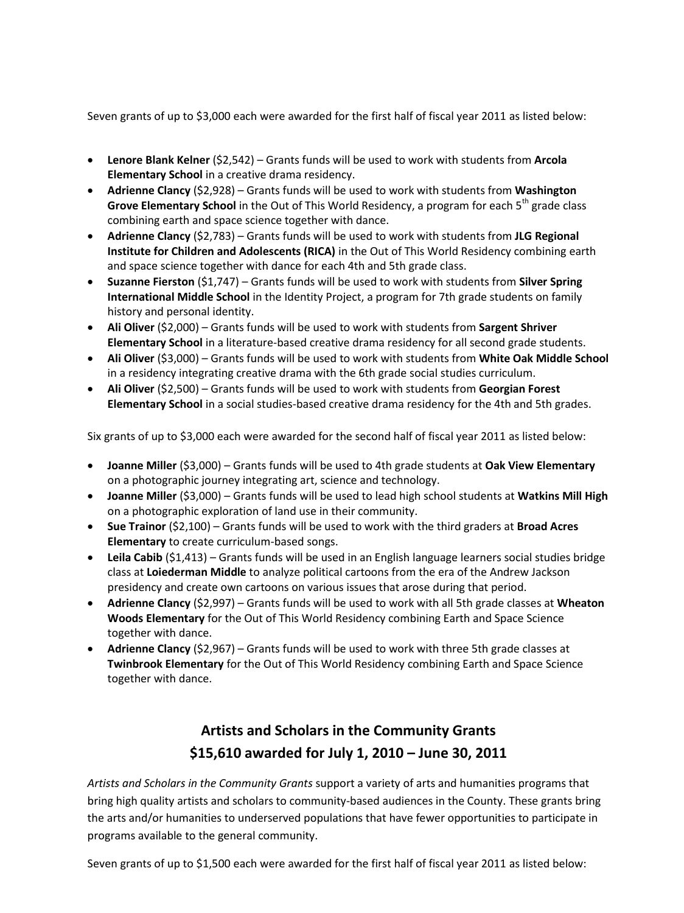Seven grants of up to \$3,000 each were awarded for the first half of fiscal year 2011 as listed below:

- **Lenore Blank Kelner** (\$2,542) Grants funds will be used to work with students from **Arcola Elementary School** in a creative drama residency.
- **Adrienne Clancy** (\$2,928) Grants funds will be used to work with students from **Washington Grove Elementary School** in the Out of This World Residency, a program for each 5<sup>th</sup> grade class combining earth and space science together with dance.
- **Adrienne Clancy** (\$2,783) Grants funds will be used to work with students from **JLG Regional Institute for Children and Adolescents (RICA)** in the Out of This World Residency combining earth and space science together with dance for each 4th and 5th grade class.
- **Suzanne Fierston** (\$1,747) Grants funds will be used to work with students from **Silver Spring International Middle School** in the Identity Project, a program for 7th grade students on family history and personal identity.
- **Ali Oliver** (\$2,000) Grants funds will be used to work with students from **Sargent Shriver Elementary School** in a literature-based creative drama residency for all second grade students.
- **Ali Oliver** (\$3,000) Grants funds will be used to work with students from **White Oak Middle School** in a residency integrating creative drama with the 6th grade social studies curriculum.
- **Ali Oliver** (\$2,500) Grants funds will be used to work with students from **Georgian Forest Elementary School** in a social studies-based creative drama residency for the 4th and 5th grades.

Six grants of up to \$3,000 each were awarded for the second half of fiscal year 2011 as listed below:

- **Joanne Miller** (\$3,000) Grants funds will be used to 4th grade students at **Oak View Elementary** on a photographic journey integrating art, science and technology.
- **Joanne Miller** (\$3,000) Grants funds will be used to lead high school students at **Watkins Mill High** on a photographic exploration of land use in their community.
- **Sue Trainor** (\$2,100) Grants funds will be used to work with the third graders at **Broad Acres Elementary** to create curriculum-based songs.
- **Leila Cabib** (\$1,413) Grants funds will be used in an English language learners social studies bridge class at **Loiederman Middle** to analyze political cartoons from the era of the Andrew Jackson presidency and create own cartoons on various issues that arose during that period.
- **Adrienne Clancy** (\$2,997) Grants funds will be used to work with all 5th grade classes at **Wheaton Woods Elementary** for the Out of This World Residency combining Earth and Space Science together with dance.
- **Adrienne Clancy** (\$2,967) Grants funds will be used to work with three 5th grade classes at **Twinbrook Elementary** for the Out of This World Residency combining Earth and Space Science together with dance.

## **Artists and Scholars in the Community Grants \$15,610 awarded for July 1, 2010 – June 30, 2011**

*Artists and Scholars in the Community Grants* support a variety of arts and humanities programs that bring high quality artists and scholars to community-based audiences in the County. These grants bring the arts and/or humanities to underserved populations that have fewer opportunities to participate in programs available to the general community.

Seven grants of up to \$1,500 each were awarded for the first half of fiscal year 2011 as listed below: